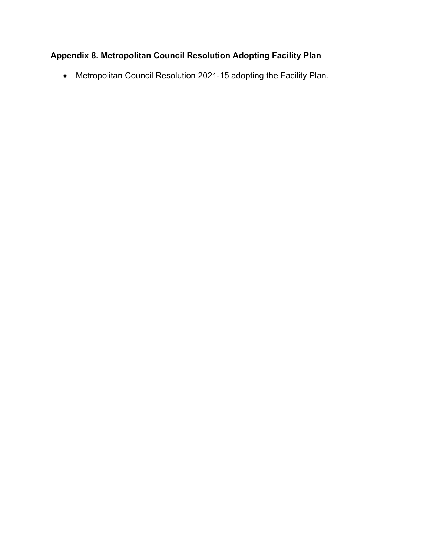## **Appendix 8. Metropolitan Council Resolution Adopting Facility Plan**

• Metropolitan Council Resolution 2021-15 adopting the Facility Plan.